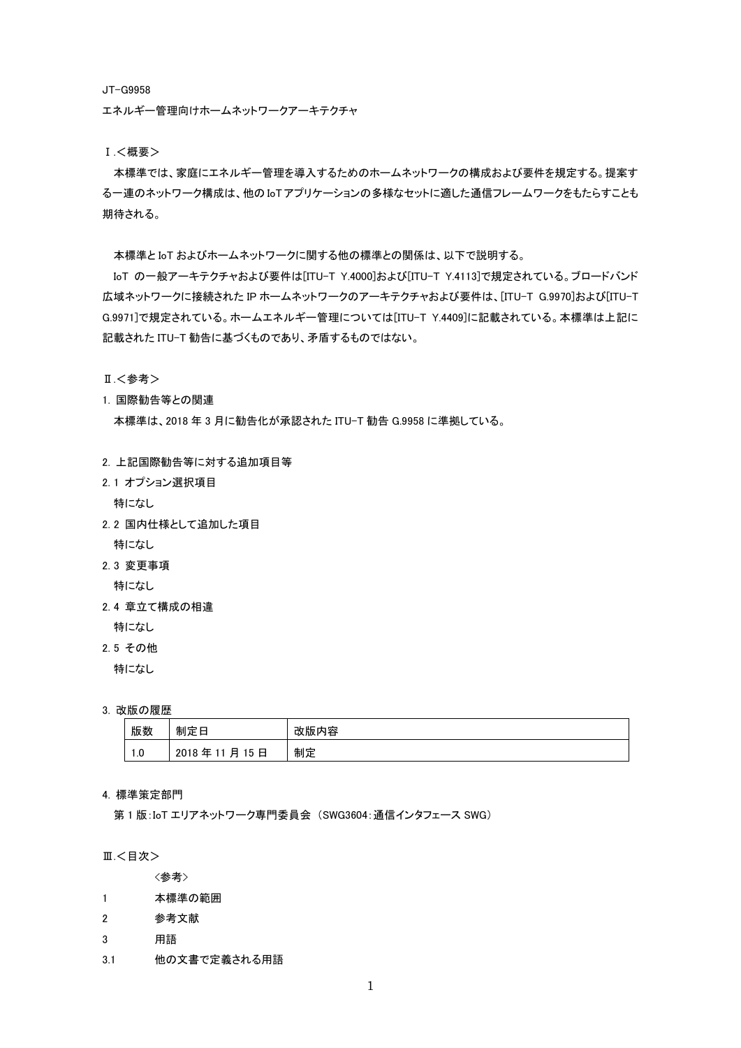JT-G9958

エネルギー管理向けホームネットワークアーキテクチャ

Ⅰ.<概要>

本標準では、家庭にエネルギー管理を導入するためのホームネットワークの構成および要件を規定する。提案す る一連のネットワーク構成は、他の IoT アプリケーションの多様なセットに適した通信フレームワークをもたらすことも 期待される。

本標準と IoT およびホームネットワークに関する他の標準との関係は、以下で説明する。

IoT の一般アーキテクチャおよび要件は[ITU-T Y.4000]および[ITU-T Y.4113]で規定されている。ブロードバンド 広域ネットワークに接続された IP ホームネットワークのアーキテクチャおよび要件は、[ITU-T G.9970]および[ITU-T G.9971]で規定されている。ホームエネルギー管理については[ITU-T Y.4409]に記載されている。本標準は上記に 記載された ITU-T 勧告に基づくものであり、矛盾するものではない。

Ⅱ.<参考>

1. 国際勧告等との関連

本標準は、2018 年 3 月に勧告化が承認された ITU-T 勧告 G.9958 に準拠している。

- 2. 上記国際勧告等に対する追加項目等
- 2. 1 オプション選択項目

特になし

2. 2 国内仕様として追加した項目

特になし

- 2. 3 変更事項
- 特になし
- 2. 4 章立て構成の相違
	- 特になし
- 2. 5 その他

特になし

3. 改版の履歴

| 版数                    | 制定日                              | 改版内容 |
|-----------------------|----------------------------------|------|
| $\overline{1}$<br>IJ. | 日<br>2018<br>年<br>月<br>15<br>-11 | 制定   |

## 4. 標準策定部門

第 1 版:IoT エリアネットワーク専門委員会 (SWG3604:通信インタフェース SWG)

Ⅲ.<目次>

<参考>

- 1 本標準の範囲
- 2 参考文献
- 3 用語
- 3.1 他の文書で定義される用語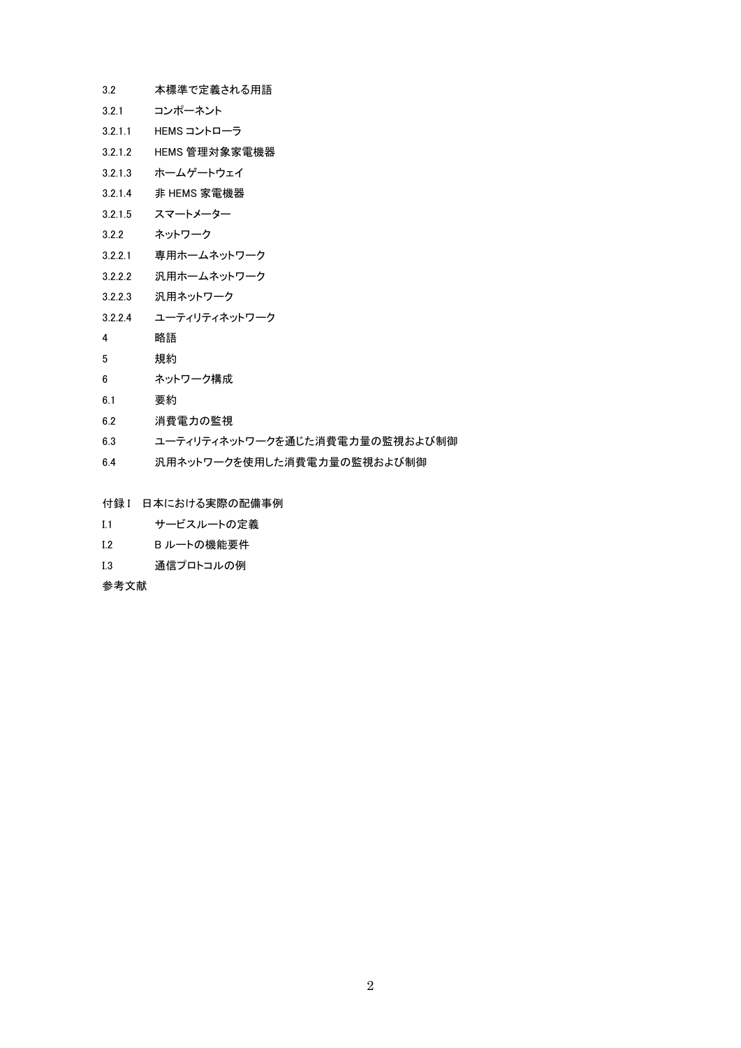- 3.2 本標準で定義される用語
- 3.2.1 コンポーネント
- 3.2.1.1 HEMS コントローラ
- 3.2.1.2 HEMS 管理対象家電機器
- 3.2.1.3 ホームゲートウェイ
- 3.2.1.4 非 HEMS 家電機器
- 3.2.1.5 スマートメーター
- 3.2.2 ネットワーク
- 3.2.2.1 専用ホームネットワーク
- 3.2.2.2 汎用ホームネットワーク
- 3.2.2.3 汎用ネットワーク
- 3.2.2.4 ユーティリティネットワーク
- 4 略語
- 5 規約
- 6 ネットワーク構成
- 6.1 要約
- 6.2 消費電力の監視
- 6.3 ユーティリティネットワークを通じた消費電力量の監視および制御
- 6.4 汎用ネットワークを使用した消費電力量の監視および制御
- 付録 I 日本における実際の配備事例
- I.1 サービスルートの定義
- I.2 B ルートの機能要件
- I.3 通信プロトコルの例

参考文献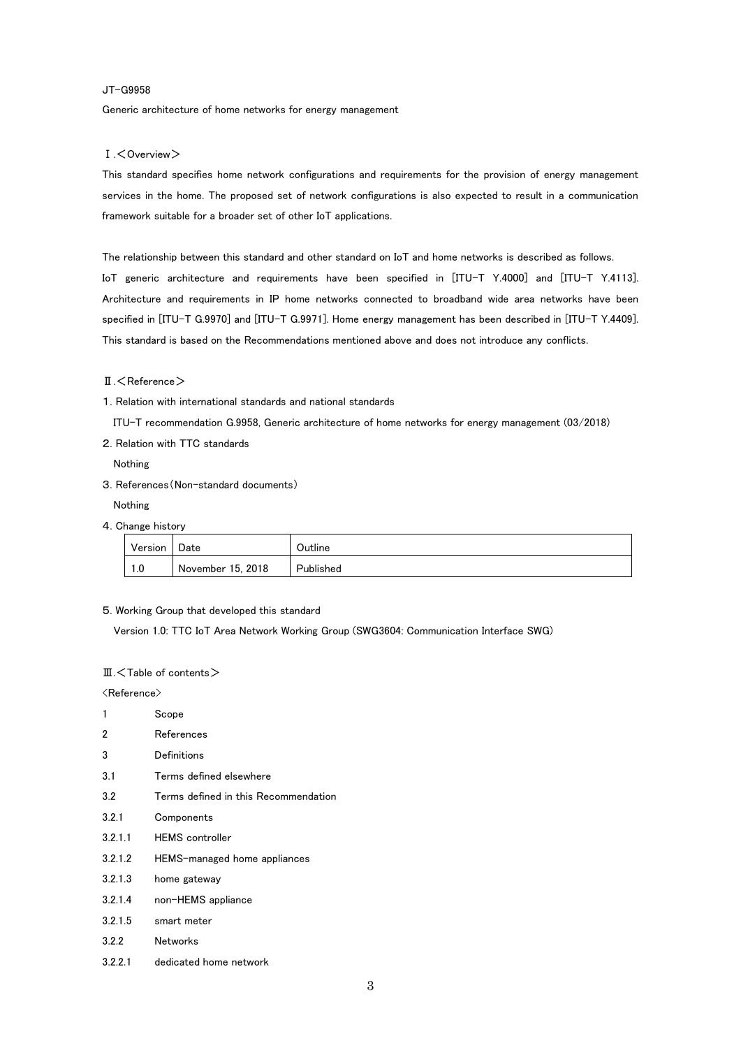#### JT-G9958

Generic architecture of home networks for energy management

#### Ⅰ.<Overview>

This standard specifies home network configurations and requirements for the provision of energy management services in the home. The proposed set of network configurations is also expected to result in a communication framework suitable for a broader set of other IoT applications.

The relationship between this standard and other standard on IoT and home networks is described as follows.

IoT generic architecture and requirements have been specified in [ITU-T Y.4000] and [ITU-T Y.4113]. Architecture and requirements in IP home networks connected to broadband wide area networks have been specified in [ITU-T G.9970] and [ITU-T G.9971]. Home energy management has been described in [ITU-T Y.4409]. This standard is based on the Recommendations mentioned above and does not introduce any conflicts.

#### Ⅱ.<Reference>

1. Relation with international standards and national standards

ITU-T recommendation G.9958, Generic architecture of home networks for energy management (03/2018)

2. Relation with TTC standards

Nothing

3. References(Non-standard documents)

Nothing

4. Change history

| Version   Date |                   | Outline   |
|----------------|-------------------|-----------|
| $\vert$ 1.0    | November 15, 2018 | Published |

5. Working Group that developed this standard

Version 1.0: TTC IoT Area Network Working Group (SWG3604: Communication Interface SWG)

### Ⅲ.<Table of contents>

<Reference>

1 Scope 2 References 3 Definitions 3.1 Terms defined elsewhere 3.2 Terms defined in this Recommendation 3.2.1 Components 3.2.1.1 HEMS controller 3.2.1.2 HEMS-managed home appliances 3.2.1.3 home gateway 3.2.1.4 non-HEMS appliance 3.2.1.5 smart meter 3.2.2 Networks 3.2.2.1 dedicated home network